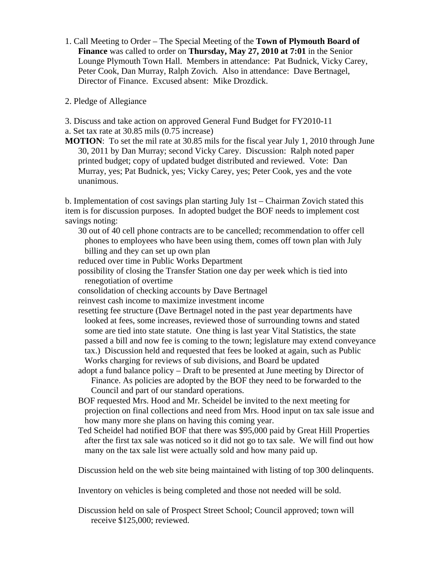1. Call Meeting to Order – The Special Meeting of the **Town of Plymouth Board of Finance** was called to order on **Thursday, May 27, 2010 at 7:01** in the Senior Lounge Plymouth Town Hall. Members in attendance: Pat Budnick, Vicky Carey, Peter Cook, Dan Murray, Ralph Zovich. Also in attendance: Dave Bertnagel, Director of Finance. Excused absent: Mike Drozdick.

2. Pledge of Allegiance

3. Discuss and take action on approved General Fund Budget for FY2010-11 a. Set tax rate at 30.85 mils (0.75 increase)

**MOTION**: To set the mil rate at 30.85 mils for the fiscal year July 1, 2010 through June 30, 2011 by Dan Murray; second Vicky Carey. Discussion: Ralph noted paper printed budget; copy of updated budget distributed and reviewed. Vote: Dan Murray, yes; Pat Budnick, yes; Vicky Carey, yes; Peter Cook, yes and the vote unanimous.

b. Implementation of cost savings plan starting July 1st – Chairman Zovich stated this item is for discussion purposes. In adopted budget the BOF needs to implement cost savings noting:

30 out of 40 cell phone contracts are to be cancelled; recommendation to offer cell phones to employees who have been using them, comes off town plan with July billing and they can set up own plan

reduced over time in Public Works Department

- possibility of closing the Transfer Station one day per week which is tied into renegotiation of overtime
- consolidation of checking accounts by Dave Bertnagel
- reinvest cash income to maximize investment income
- resetting fee structure (Dave Bertnagel noted in the past year departments have looked at fees, some increases, reviewed those of surrounding towns and stated some are tied into state statute. One thing is last year Vital Statistics, the state passed a bill and now fee is coming to the town; legislature may extend conveyance tax.) Discussion held and requested that fees be looked at again, such as Public Works charging for reviews of sub divisions, and Board be updated
- adopt a fund balance policy Draft to be presented at June meeting by Director of Finance. As policies are adopted by the BOF they need to be forwarded to the Council and part of our standard operations.
- BOF requested Mrs. Hood and Mr. Scheidel be invited to the next meeting for projection on final collections and need from Mrs. Hood input on tax sale issue and how many more she plans on having this coming year.
- Ted Scheidel had notified BOF that there was \$95,000 paid by Great Hill Properties after the first tax sale was noticed so it did not go to tax sale. We will find out how many on the tax sale list were actually sold and how many paid up.

Discussion held on the web site being maintained with listing of top 300 delinquents.

Inventory on vehicles is being completed and those not needed will be sold.

Discussion held on sale of Prospect Street School; Council approved; town will receive \$125,000; reviewed.